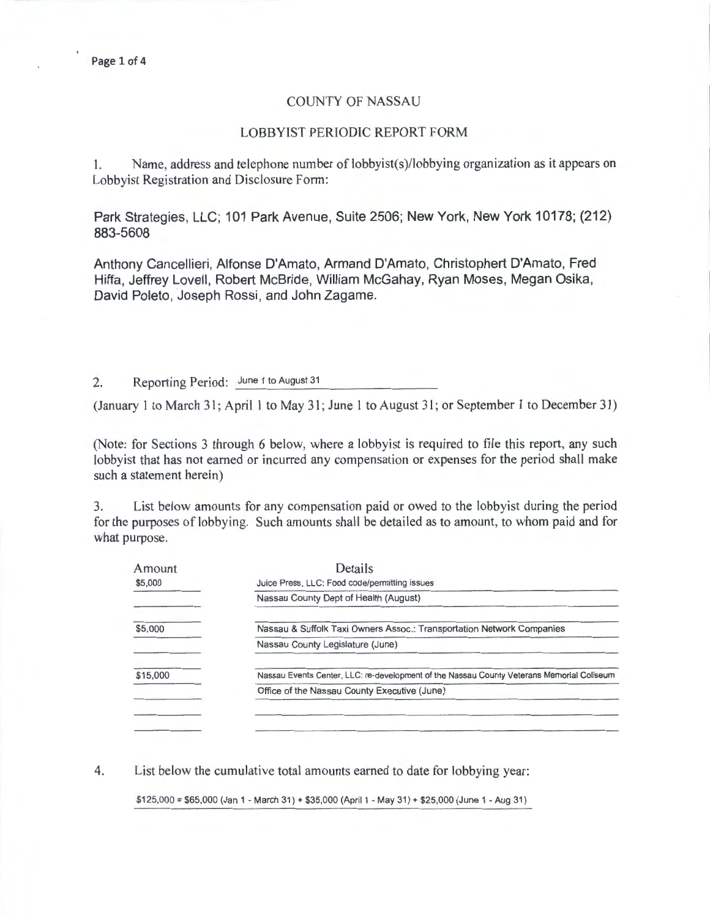# COUNTY OF NASSAU

#### LOBBYIST PERIODIC REPORT FORM

I. Name, address and telephone number of lobbyist(s)/lobbying organization as it appears on Lobbyist Registration and Disclosure Form:

Park Strategies, LLC; 101 Park Avenue, Suite 2506; New York, New York 10178; (212) 883-5608

Anthony Cancellieri, Alfonse D'Amato, Armand D'Amato, Christophert D'Amato, Fred Hiffa, Jeffrey Lovell, Robert McBride, William McGahay, Ryan Moses, Megan Osika, David Poleto, Joseph Rossi, and John Zagame.

2. Reporting Period: June 1 to August 31

(January 1 to March 31; April 1 to May 31; June 1 to August 31; or September 1 to December 31)

(Note: for Sections 3 through 6 below, where a lobbyist is required to file this report, any such lobbyist that has not earned or incurred any compensation or expenses for the period shall make such a statement herein)

3. List below amounts for any compensation paid or owed to the lobbyist during the period for the purposes of lobbying. Such amounts shall be detailed as to amount, to whom paid and for what purpose.

| Amount   | Details                                                                                   |
|----------|-------------------------------------------------------------------------------------------|
| \$5,000  | Juice Press, LLC: Food code/permitting issues                                             |
|          | Nassau County Dept of Health (August)                                                     |
| \$5,000  | Nassau & Suffolk Taxi Owners Assoc.: Transportation Network Companies                     |
|          | Nassau County Legislature (June)                                                          |
| \$15,000 | Nassau Events Center, LLC: re-development of the Nassau County Veterans Memorial Coliseum |
|          | Office of the Nassau County Executive (June)                                              |
|          |                                                                                           |
|          |                                                                                           |

4. List below the cumulative total amounts earned to date for lobbying year:

\$125,000 = \$65,000 (Jan 1 -March 31) + \$35,000 (April1 -May 31) + \$25,000 (June 1 -Aug 31)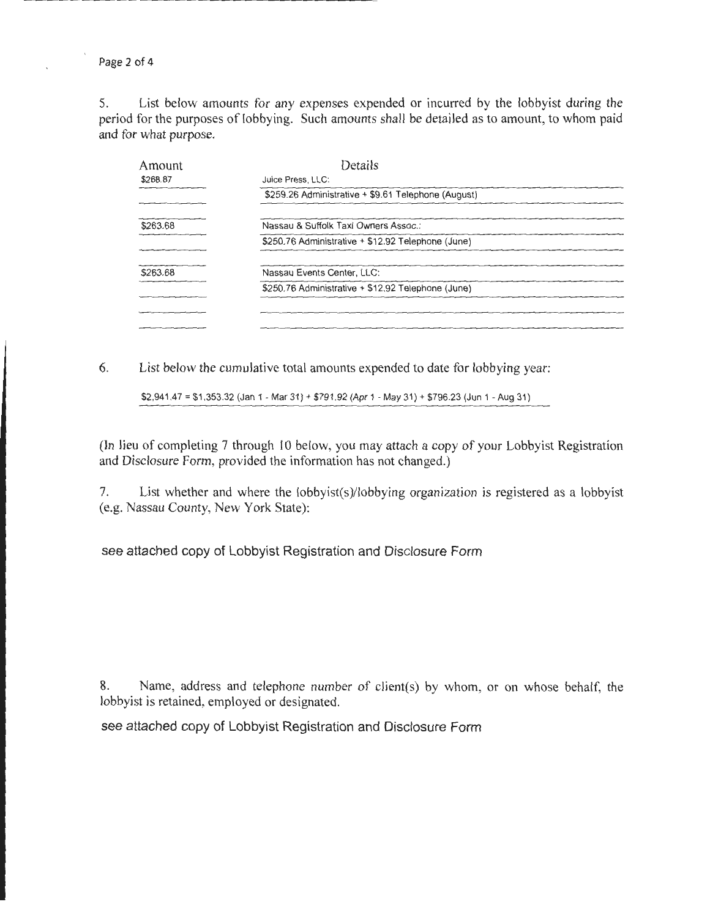Page 2 of 4

5. List below amounts for any expenses expended or incurred by the lobbyist during the period for the purposes of lobbying. Such amounts shall be detailed as to amount, to whom paid and for what purpose.

| Amount   | Details                                             |
|----------|-----------------------------------------------------|
| \$268.87 | Juice Press, LLC:                                   |
|          | \$259.26 Administrative + \$9.61 Telephone (August) |
| \$263.68 | Nassau & Suffolk Taxi Owners Assoc.:                |
|          | \$250.76 Administrative + \$12.92 Telephone (June)  |
| \$263.68 | Nassau Events Center, LLC:                          |
|          | \$250.76 Administrative + \$12.92 Telephone (June)  |
|          |                                                     |
|          |                                                     |

6. List below the cumulative total amounts expended to date for lobbying year:

\$2,941.47 = \$1 ,353.32 (Jan 1 -Mar 31) + \$791 .92 (Apr 1 -May 31) + \$796.23 (Jun 1 -Aug 31)

(In lieu of completing 7 through 10 below, you may attach a copy of your Lobbyist Registration and Disclosure Form, provided the information has not changed.)

7. List whether and where the lobbyist(s)/lobbying organization is registered as a lobbyist (e.g. Nassau County, New York State):

see attached copy of Lobbyist Registration and Disclosure Form

8. Name, address and telephone number of client(s) by whom, or on whose behalf, the lobbyist is retained, employed or designated.

see attached copy of Lobbyist Registration and Disclosure Form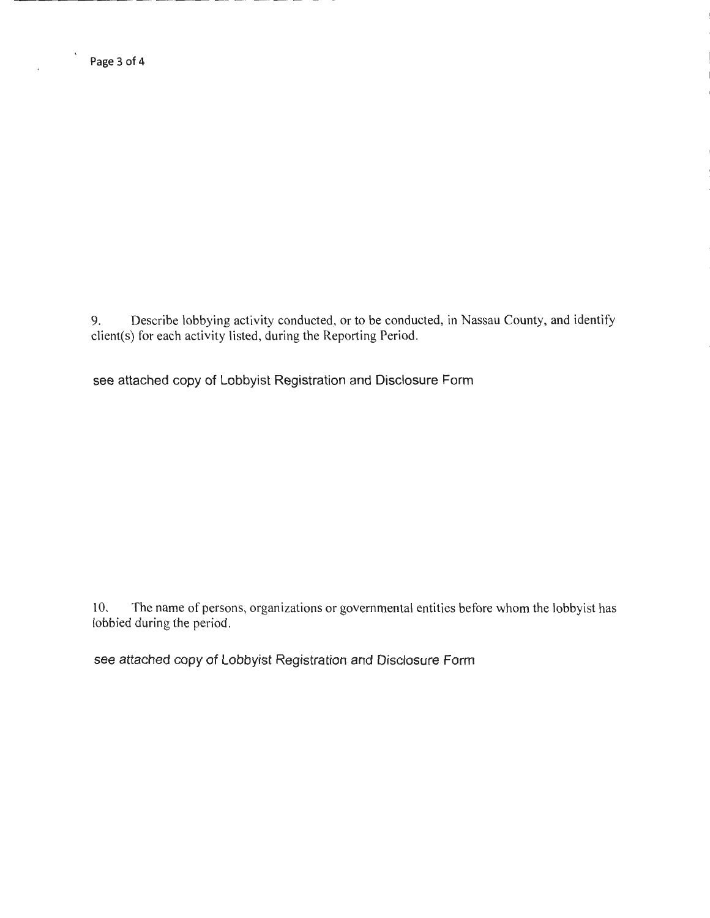9. Describe lobbying activity conducted, or to be conducted, in Nassau County, and identify client(s) for each activity listed, during the Reporting Period.

see attached copy of Lobbyist Registration and Disclosure Form

10. The name of persons, organizations or governmental entities before whom the lobbyist has lobbied during the period.

see attached copy of Lobbyist Registration and Disclosure Form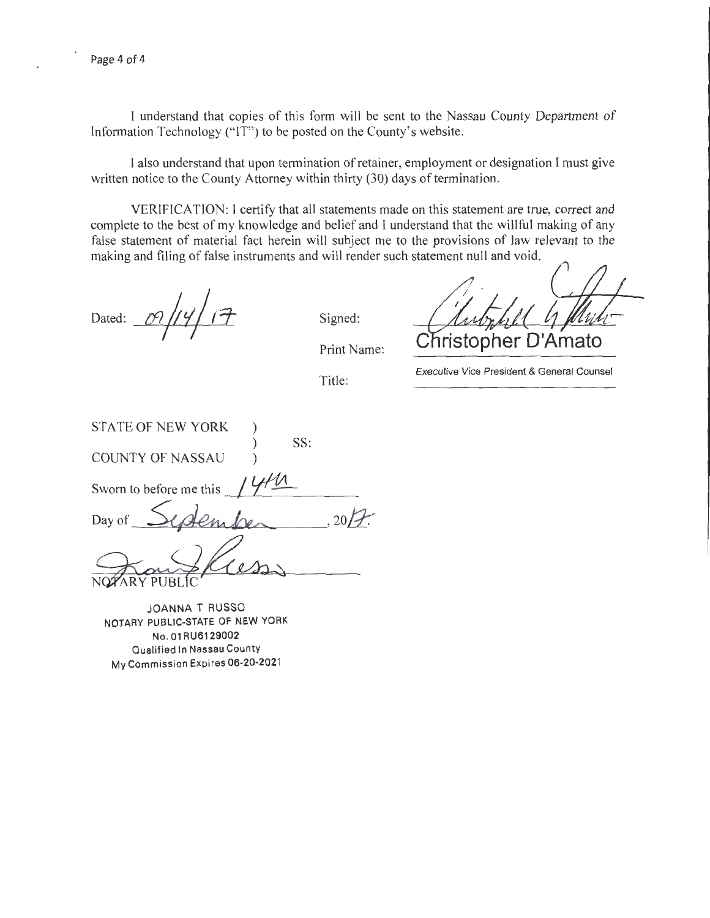I understand that copies of this form will be sent to the Nassau County Department of Information Technology ("IT") to be posted on the County's website.

I also understand that upon termination of retainer, employment or designation I must give written notice to the County Attorney within thirty (30) days of termination.

VERIFICATION: I certify that all statements made on this statement are true, correct and complete to the best of my knowledge and belief and I understand that the willful making of any false statement of material fact herein will subject me to the provisions of law relevant to the making and filing of false instruments and will render such statement null and void.

Dated: *ILl Jrjr±*   $\mathcal{T}$ 

Signed:

Print Name:

Title:

**ristopher D'Amato** 

Executive Vice President & General Counsel

STATE OF NEW YORK )  $SS:$ COUNTY OF NASSAU ) Sworn to before me this ' Day of  $S$ enber , 20/7. SWOT TO PNASSAU<br>
Sworn to before me this 1444<br>
Day of Sydember 2017.<br>
NOTARY PUBLIC<br>
NOTARY PUBLIC<br>
NOTARY PUBLIC STATE OF NEW YORK

JOANNA T RUSSO NOTARY PUBLIC-STATE OF **NEW** YORK No. 01 RU6129002 Qualified In Nassau County My Commission Expires 06-20-202 1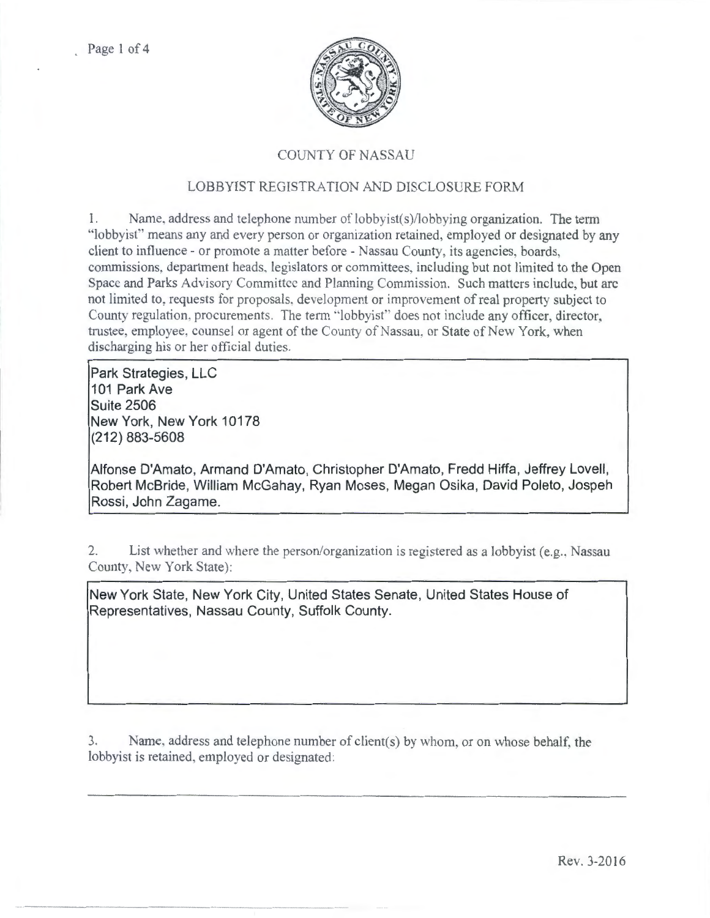

# COUNTY OF NASSAU

# LOBBYIST REGISTRATION AND DISCLOSURE FORM

1. Name, address and telephone number of lobbyist(s)/lobbying organization. The term "lobbyist'' means any and every person or organization retained, employed or designated by any client to influence - or promote a matter before - Nassau County, its agencies, boards, commissions, department heads, legislators or committees, including but not limited to the Open Space and Parks Advisory Committee and Planning Commission. Such matters include, but arc not limited to, requests for proposals, development or improvement of real property subject to County regulation. procurements. The term "lobbyist" does not inciude any officer, director, trustee, employee. counsel or agent of the County of Nassau, or State of New York, when discharging his or her official duties.

**Park Strategies, LLC 101 Park Ave Suite 2506 New York, New York 10178 (212) 883-5608** 

**Alfonse D'Amato, Armand D'Amato, Christopher D'Amato, Fredd Hiffa, Jeffrey Lovell, Robert McBride, William McGahay, Ryan Moses, Megan Osika, David Poleto, Jospeh Rossi , John Zagame.** 

2. List whether and where the person/organization is registered as a lobbyist (e.g., Nassau County, New York State):

**New York State, New York City, United States Senate, United States House of Representatives, Nassau County, Suffolk County.** 

3. Name, address and telephone number of client(s) by whom, or on whose behalf. the lobbyist is retained, employed or designated: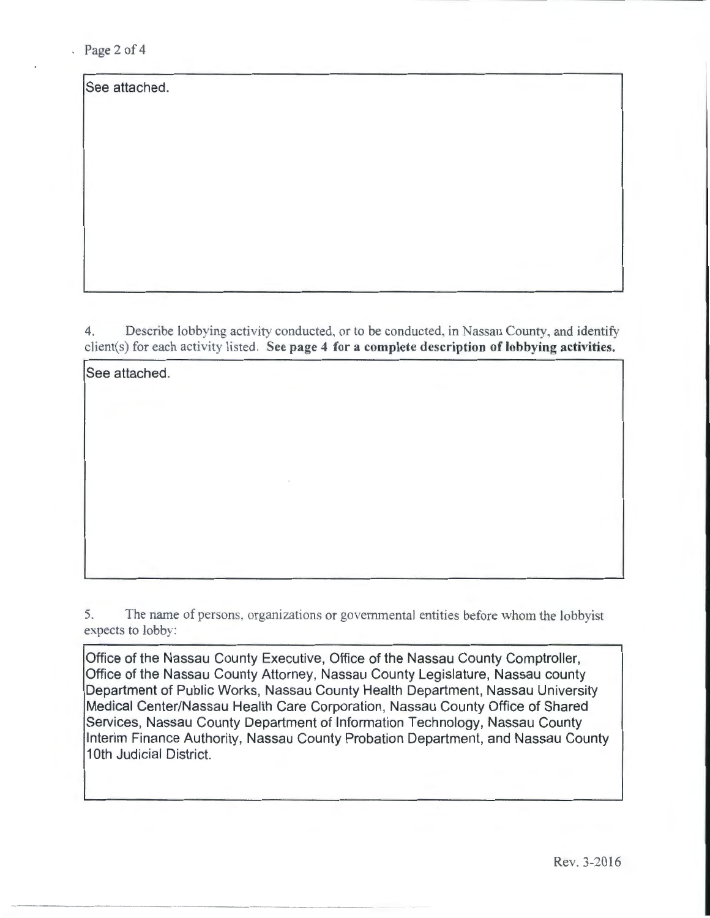$Page 2 of 4$ 

See attached.

See attached.

4. Describe lobbying activity conducted, or to be conducted, in Nassau County, and identify client(s) for each activity listed. See page 4 for a complete description of lobbying activities.

5. The name of persons. organizations or govermnental entities before whom the lobbyist expects to lobby:

Office of the Nassau County Executive, Office of the Nassau County Comptroller, Office of the Nassau County Attorney, Nassau County Legislature, Nassau county Department of Public Works, Nassau County Health Department, Nassau University Medical Center/Nassau Health Care Corporation, Nassau County Office of Shared Services, Nassau County Department of Information Technology, Nassau County Interim Finance Authority, Nassau County Probation Department, and Nassau County 1Oth Judicial District.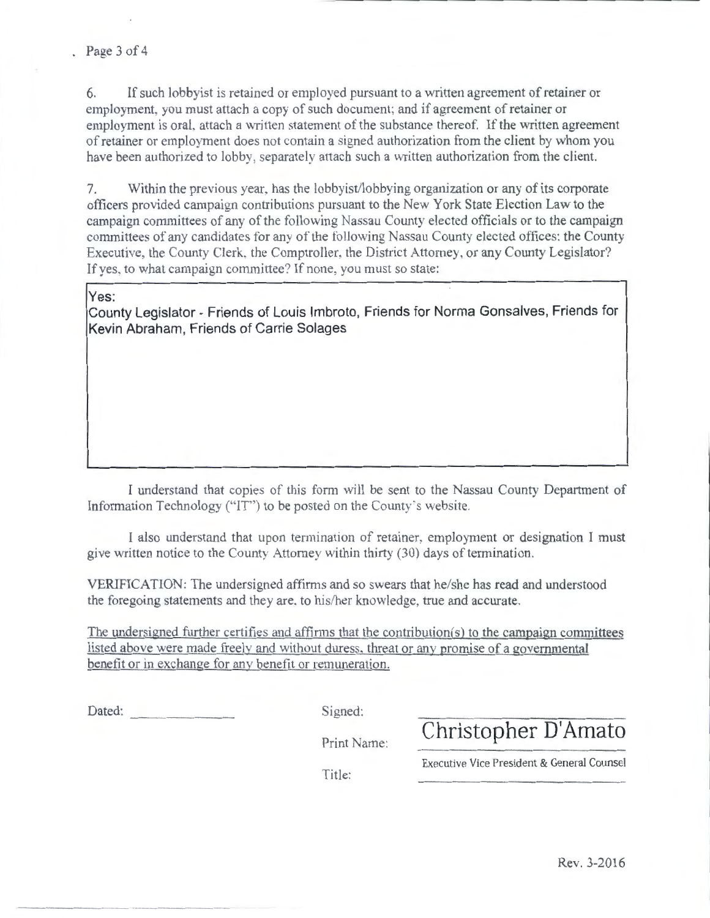6. If such lobby ist is retained or employed pursuant to a written agreement of retainer or employment, you must attach a copy of such document: and if agreement of retainer or employment is oral, attach a written statement of the substance thereof. If the written agreement of retainer or employment does not contain a signed authorization from the client by whom you have been authorized to lobby. separately attach such a written authorization from the client.

7. Within the previous year. has the lobbyist/lobbying organjzation or any of its corporate officers provided campaign contributions pursuant to the New York State Election Law to the campaign committees of any of the following Nassau County elected officials or to the campaign committees of any candidates for any of the following Nassau County elected offices: the County Executive, the County Clerk. the Comptroller. the District Attorney, or any County Legislator? If yes. to what campaign committee? If none, you must so state:

## **Yes:**

**County Legislator- Friends of Louis lmbroto, Friends for Norma Gonsalves, Friends for Kevin Abraham , Friends of Carrie Solages** 

I understand that copies of this form will be sent to the Nassau County Department of Information Technology ("IT") to be posted on the County's website.

I also understand that upon termination of retainer. employment or designation I must give written notice to the County Attorney within thirty (30) days of termination.

VERIFICATION: The undersigned affirms and so swears that he/she has read and understood the foregoing statements and they are. to his/her knowledge, true and accurate.

The undersigned further certifies and affirms that the contribution(s) to the campaign committees listed above were made freely and without duress. threat or anv promise of a governmental benefit or in exchange for anv benefit or remuneration.

Signed:

Print Name: **Christopher D'Amato** 

Title:

Executive Vice President & General Counsel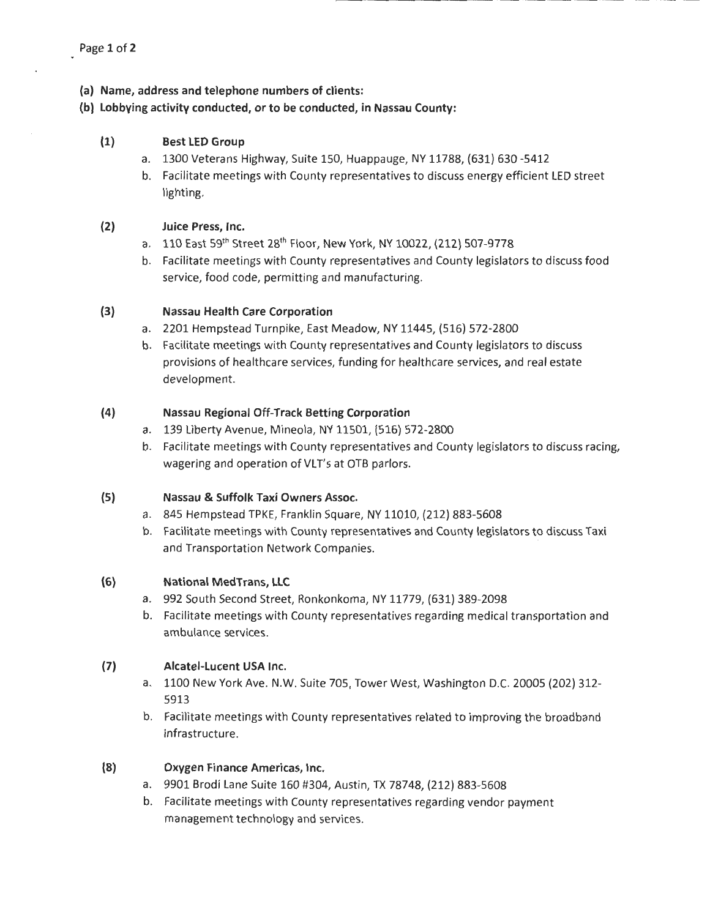- **(a) Name, address and telephone numbers of clients:**
- **(b) lobbying activity conducted, or to be conducted, in Nassau County:**

## **(1) Best LED Group**

- a. 1300 Veterans Highway, Suite 150, Huappauge, NY 11788, (631) 630 -5412
- b. Facilitate meetings with County representatives to discuss energy efficient LED street lighting.

## **(2) Juice Press, Inc.**

- a. 110 East 59<sup>th</sup> Street 28<sup>th</sup> Floor, New York, NY 10022, (212) 507-9778
- b. Facilitate meetings with County representatives and County legislators to discuss food service, food code, permitting and manufacturing.

### **(3) Nassau Health Care Corporation**

- a. 2201 Hempstead Turnpike, East Meadow, NY 11445, (516) 572-2800
- b. Facilitate meetings with County representatives and County legislators to discuss provisions of healthcare services, funding for healthcare services, and real estate development.

### **(4) Nassau Regional Off-Track Betting Corporation**

- a. 139 Liberty Avenue, Mineola, NY 11501, (516) 572-2800
- b. Facilitate meetings with County representatives and County legislators to discuss racing, wagering and operation of VLT's at OTB parlors.

## **(5) Nassau & Suffolk Taxi Owners Assoc.**

- a. 845 Hempstead TPKE, Franklin Square, NY 11010, (212) 883-5608
- b. Facilitate meetings with County representatives and County legislators to discuss Taxi and Transportation Network Companies.

## **(6) National MedTrans, LLC**

- a. 992 South Second Street, Ronkonkoma, NY 11779, (631) 389-2098
- b. Facilitate meetings with County representatives regarding medical transportation and ambulance services.

# **(7) Alcatel-lucent USA Inc.**

- a. 1100 New York Ave. N.W. Suite 705, Tower West, Washington D.C. 20005 (202) 312- 5913
- b. Facilitate meetings with County representatives related to improving the broadband infrastructure.

## **(8) Oxygen Finance Americas, Inc.**

- a. 9901 Brodi Lane Suite 160 #304, Austin, TX 78748, (212) 883-5608
- b. Facilitate meetings with County representatives regarding vendor payment management technology and services.